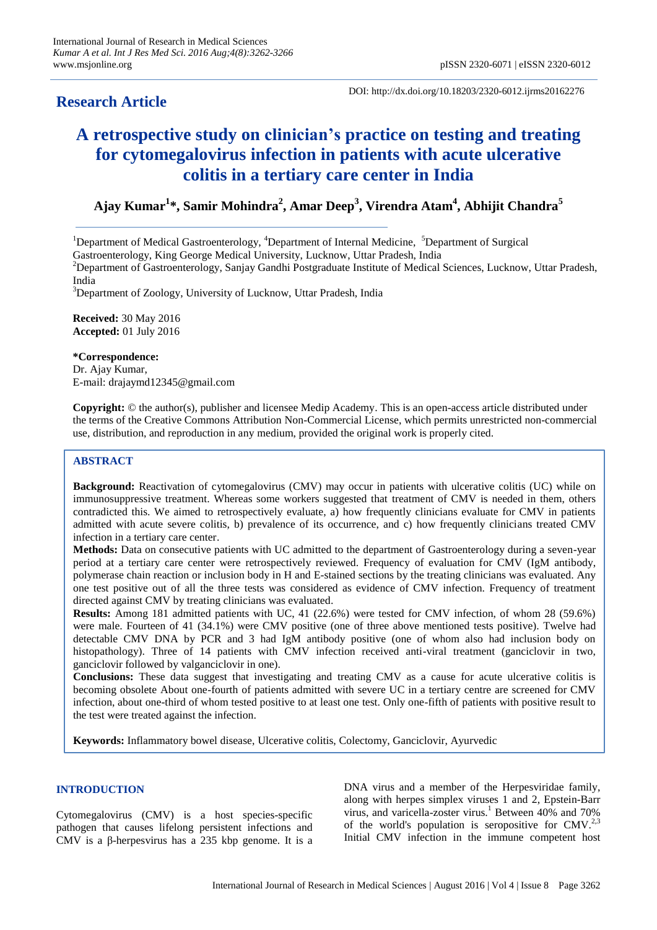## **Research Article**

DOI: http://dx.doi.org/10.18203/2320-6012.ijrms20162276

# **A retrospective study on clinician's practice on testing and treating for cytomegalovirus infection in patients with acute ulcerative colitis in a tertiary care center in India**

**Ajay Kumar<sup>1</sup> \*, Samir Mohindra<sup>2</sup> , Amar Deep<sup>3</sup> , Virendra Atam<sup>4</sup> , Abhijit Chandra<sup>5</sup>**

<sup>1</sup>Department of Medical Gastroenterology,  ${}^4$ Department of Internal Medicine,  ${}^5$ Department of Surgical

Gastroenterology, King George Medical University, Lucknow, Uttar Pradesh, India

<sup>2</sup>Department of Gastroenterology, Sanjay Gandhi Postgraduate Institute of Medical Sciences, Lucknow, Uttar Pradesh, India

<sup>3</sup>Department of Zoology, University of Lucknow, Uttar Pradesh, India

**Received:** 30 May 2016 **Accepted:** 01 July 2016

**\*Correspondence:**

Dr. Ajay Kumar, E-mail: drajaymd12345@gmail.com

**Copyright:** © the author(s), publisher and licensee Medip Academy. This is an open-access article distributed under the terms of the Creative Commons Attribution Non-Commercial License, which permits unrestricted non-commercial use, distribution, and reproduction in any medium, provided the original work is properly cited.

## **ABSTRACT**

**Background:** Reactivation of cytomegalovirus (CMV) may occur in patients with ulcerative colitis (UC) while on immunosuppressive treatment. Whereas some workers suggested that treatment of CMV is needed in them, others contradicted this. We aimed to retrospectively evaluate, a) how frequently clinicians evaluate for CMV in patients admitted with acute severe colitis, b) prevalence of its occurrence, and c) how frequently clinicians treated CMV infection in a tertiary care center.

**Methods:** Data on consecutive patients with UC admitted to the department of Gastroenterology during a seven-year period at a tertiary care center were retrospectively reviewed. Frequency of evaluation for CMV (IgM antibody, polymerase chain reaction or inclusion body in H and E-stained sections by the treating clinicians was evaluated. Any one test positive out of all the three tests was considered as evidence of CMV infection. Frequency of treatment directed against CMV by treating clinicians was evaluated.

**Results:** Among 181 admitted patients with UC, 41 (22.6%) were tested for CMV infection, of whom 28 (59.6%) were male. Fourteen of 41 (34.1%) were CMV positive (one of three above mentioned tests positive). Twelve had detectable CMV DNA by PCR and 3 had IgM antibody positive (one of whom also had inclusion body on histopathology). Three of 14 patients with CMV infection received anti-viral treatment (ganciclovir in two, ganciclovir followed by valganciclovir in one).

**Conclusions:** These data suggest that investigating and treating CMV as a cause for acute ulcerative colitis is becoming obsolete About one-fourth of patients admitted with severe UC in a tertiary centre are screened for CMV infection, about one-third of whom tested positive to at least one test. Only one-fifth of patients with positive result to the test were treated against the infection.

**Keywords:** Inflammatory bowel disease, Ulcerative colitis, Colectomy, Ganciclovir, Ayurvedic

## **INTRODUCTION**

Cytomegalovirus (CMV) is a host species-specific pathogen that causes lifelong persistent infections and CMV is a β-herpesvirus has a 235 kbp genome. It is a DNA virus and a member of the Herpesviridae family, along with herpes [simplex](http://emedicine.medscape.com/article/218580-overview) viruses 1 and 2, [Epstein-Barr](http://emedicine.medscape.com/article/963894-overview) [virus,](http://emedicine.medscape.com/article/963894-overview) and [varicella-zoster](http://emedicine.medscape.com/article/231927-overview) virus. <sup>1</sup> Between 40% and 70% of the world's population is seropositive for CMV. $^{2,3}$ Initial CMV infection in the immune competent host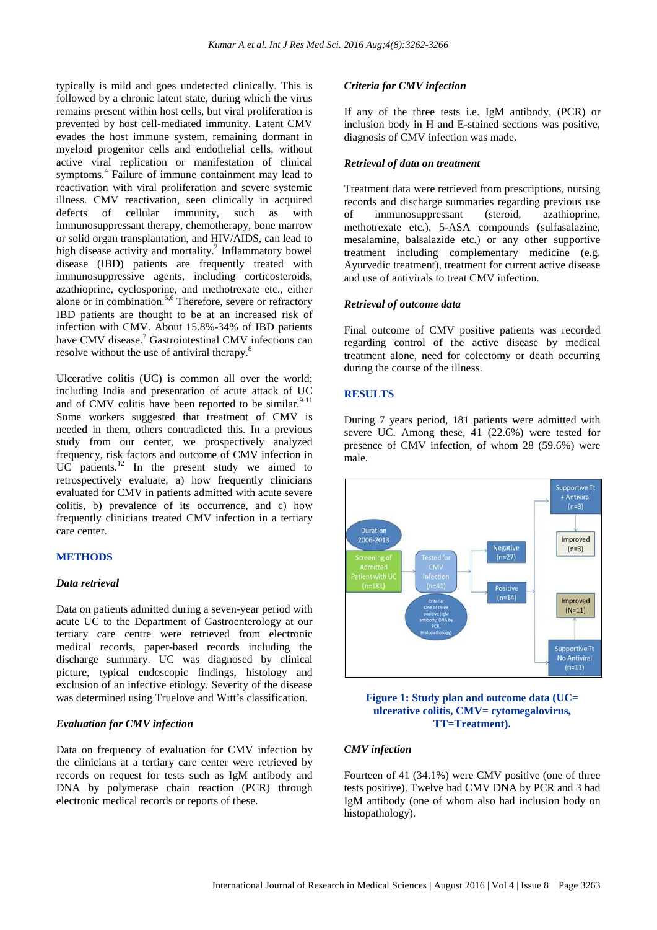typically is mild and goes undetected clinically. This is followed by a chronic latent state, during which the virus remains present within host cells, but viral proliferation is prevented by host cell-mediated immunity. Latent CMV evades the host immune system, remaining dormant in myeloid progenitor cells and endothelial cells, without active viral replication or manifestation of clinical symptoms.<sup>4</sup> Failure of immune containment may lead to reactivation with viral proliferation and severe systemic illness. CMV reactivation, seen clinically in acquired defects of cellular immunity, such as with immunosuppressant therapy, chemotherapy, bone marrow or solid organ transplantation, and HIV/AIDS, can lead to high disease activity and mortality.<sup>2</sup> Inflammatory bowel disease (IBD) patients are frequently treated with immunosuppressive agents, including corticosteroids, azathioprine, cyclosporine, and methotrexate etc., either alone or in combination.<sup>5,6</sup> Therefore, severe or refractory IBD patients are thought to be at an increased risk of infection with CMV. About 15.8%-34% of IBD patients have CMV disease.<sup>7</sup> Gastrointestinal CMV infections can resolve without the use of antiviral therapy.<sup>8</sup>

Ulcerative colitis (UC) is common all over the world; including India and presentation of acute attack of UC and of CMV colitis have been reported to be similar. $9-11$ Some workers suggested that treatment of CMV is needed in them, others contradicted this. In a previous study from our center, we prospectively analyzed frequency, risk factors and outcome of CMV infection in  $UC$  patients.<sup>12</sup> In the present study we aimed to retrospectively evaluate, a) how frequently clinicians evaluated for CMV in patients admitted with acute severe colitis, b) prevalence of its occurrence, and c) how frequently clinicians treated CMV infection in a tertiary care center.

#### **METHODS**

#### *Data retrieval*

Data on patients admitted during a seven-year period with acute UC to the Department of Gastroenterology at our tertiary care centre were retrieved from electronic medical records, paper-based records including the discharge summary. UC was diagnosed by clinical picture, typical endoscopic findings, histology and exclusion of an infective etiology. Severity of the disease was determined using Truelove and Witt's classification.

#### *Evaluation for CMV infection*

Data on frequency of evaluation for CMV infection by the clinicians at a tertiary care center were retrieved by records on request for tests such as IgM antibody and DNA by polymerase chain reaction (PCR) through electronic medical records or reports of these.

#### *Criteria for CMV infection*

If any of the three tests i.e. IgM antibody, (PCR) or inclusion body in H and E-stained sections was positive, diagnosis of CMV infection was made.

#### *Retrieval of data on treatment*

Treatment data were retrieved from prescriptions, nursing records and discharge summaries regarding previous use of immunosuppressant (steroid, azathioprine, methotrexate etc.), 5-ASA compounds (sulfasalazine, mesalamine, balsalazide etc.) or any other supportive treatment including complementary medicine (e.g. Ayurvedic treatment), treatment for current active disease and use of antivirals to treat CMV infection.

#### *Retrieval of outcome data*

Final outcome of CMV positive patients was recorded regarding control of the active disease by medical treatment alone, need for colectomy or death occurring during the course of the illness.

#### **RESULTS**

During 7 years period, 181 patients were admitted with severe UC. Among these, 41 (22.6%) were tested for presence of CMV infection, of whom 28 (59.6%) were male.



**Figure 1: Study plan and outcome data (UC= ulcerative colitis, CMV= cytomegalovirus, TT=Treatment).**

#### *CMV infection*

Fourteen of 41 (34.1%) were CMV positive (one of three tests positive). Twelve had CMV DNA by PCR and 3 had IgM antibody (one of whom also had inclusion body on histopathology).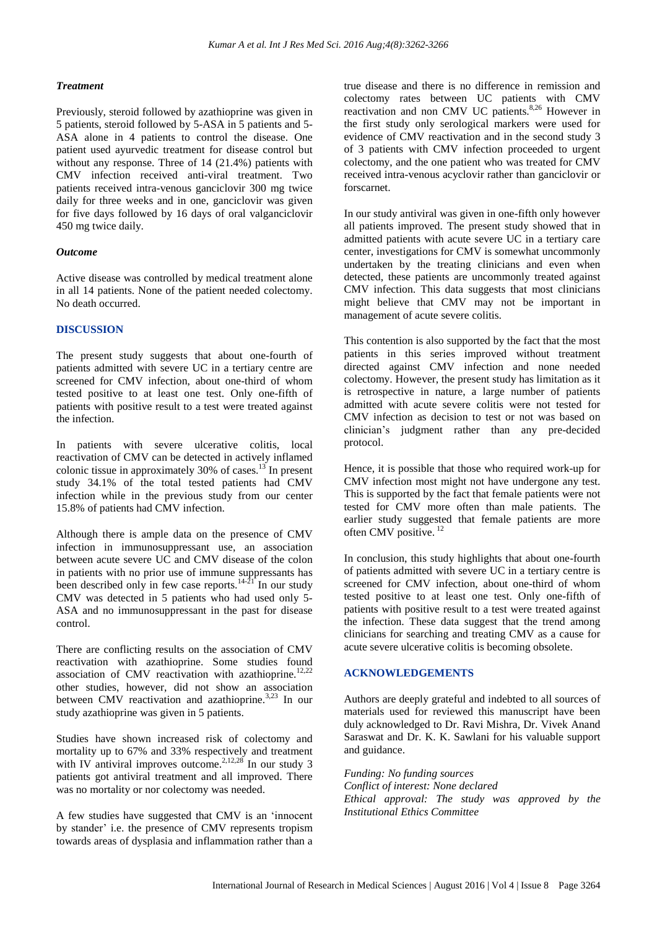## *Treatment*

Previously, steroid followed by azathioprine was given in 5 patients, steroid followed by 5-ASA in 5 patients and 5- ASA alone in 4 patients to control the disease. One patient used ayurvedic treatment for disease control but without any response. Three of 14 (21.4%) patients with CMV infection received anti-viral treatment. Two patients received intra-venous ganciclovir 300 mg twice daily for three weeks and in one, ganciclovir was given for five days followed by 16 days of oral valganciclovir 450 mg twice daily.

### *Outcome*

Active disease was controlled by medical treatment alone in all 14 patients. None of the patient needed colectomy. No death occurred.

## **DISCUSSION**

The present study suggests that about one-fourth of patients admitted with severe UC in a tertiary centre are screened for CMV infection, about one-third of whom tested positive to at least one test. Only one-fifth of patients with positive result to a test were treated against the infection.

In patients with severe ulcerative colitis, local reactivation of CMV can be detected in actively inflamed colonic tissue in approximately 30% of cases.<sup>13</sup> In present study 34.1% of the total tested patients had CMV infection while in the previous study from our center 15.8% of patients had CMV infection.

Although there is ample data on the presence of CMV infection in immunosuppressant use, an association between acute severe UC and CMV disease of the colon in patients with no prior use of immune suppressants has been described only in few case reports.<sup>14-21</sup> In our study CMV was detected in 5 patients who had used only 5- ASA and no immunosuppressant in the past for disease control.

There are conflicting results on the association of CMV reactivation with azathioprine. Some studies found association of CMV reactivation with azathioprine.<sup>12,22</sup> other studies, however, did not show an association between CMV reactivation and azathioprine.<sup>3,23</sup> In our study azathioprine was given in 5 patients.

Studies have shown increased risk of colectomy and mortality up to 67% and 33% respectively and treatment with IV antiviral improves outcome.<sup>2,12,28</sup> In our study 3 patients got antiviral treatment and all improved. There was no mortality or nor colectomy was needed.

A few studies have suggested that CMV is an 'innocent by stander' i.e. the presence of CMV represents tropism towards areas of dysplasia and inflammation rather than a true disease and there is no difference in remission and colectomy rates between UC patients with CMV reactivation and non CMV UC patients.<sup>8,26</sup> However in the first study only serological markers were used for evidence of CMV reactivation and in the second study 3 of 3 patients with CMV infection proceeded to urgent colectomy, and the one patient who was treated for CMV received intra-venous acyclovir rather than ganciclovir or forscarnet.

In our study antiviral was given in one-fifth only however all patients improved. The present study showed that in admitted patients with acute severe UC in a tertiary care center, investigations for CMV is somewhat uncommonly undertaken by the treating clinicians and even when detected, these patients are uncommonly treated against CMV infection. This data suggests that most clinicians might believe that CMV may not be important in management of acute severe colitis.

This contention is also supported by the fact that the most patients in this series improved without treatment directed against CMV infection and none needed colectomy. However, the present study has limitation as it is retrospective in nature, a large number of patients admitted with acute severe colitis were not tested for CMV infection as decision to test or not was based on clinician's judgment rather than any pre-decided protocol.

Hence, it is possible that those who required work-up for CMV infection most might not have undergone any test. This is supported by the fact that female patients were not tested for CMV more often than male patients. The earlier study suggested that female patients are more often CMV positive. <sup>12</sup>

In conclusion, this study highlights that about one-fourth of patients admitted with severe UC in a tertiary centre is screened for CMV infection, about one-third of whom tested positive to at least one test. Only one-fifth of patients with positive result to a test were treated against the infection. These data suggest that the trend among clinicians for searching and treating CMV as a cause for acute severe ulcerative colitis is becoming obsolete.

## **ACKNOWLEDGEMENTS**

Authors are deeply grateful and indebted to all sources of materials used for reviewed this manuscript have been duly acknowledged to Dr. Ravi Mishra, Dr. Vivek Anand Saraswat and Dr. K. K. Sawlani for his valuable support and guidance.

*Funding: No funding sources Conflict of interest: None declared Ethical approval: The study was approved by the Institutional Ethics Committee*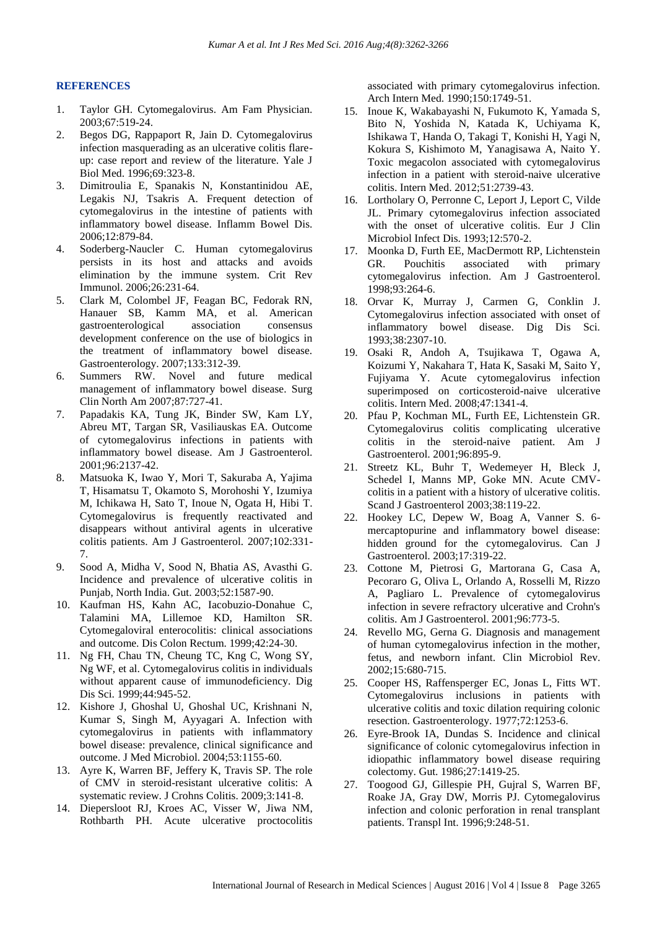#### **REFERENCES**

- 1. Taylor GH. Cytomegalovirus. Am Fam Physician. 2003;67:519-24.
- 2. Begos DG, Rappaport R, Jain D. Cytomegalovirus infection masquerading as an ulcerative colitis flareup: case report and review of the literature. Yale J Biol Med. 1996;69:323-8.
- 3. Dimitroulia E, Spanakis N, Konstantinidou AE, Legakis NJ, Tsakris A. Frequent detection of cytomegalovirus in the intestine of patients with inflammatory bowel disease. Inflamm Bowel Dis. 2006;12:879-84.
- 4. Soderberg-Naucler C. Human cytomegalovirus persists in its host and attacks and avoids elimination by the immune system. Crit Rev Immunol. 2006;26:231-64.
- 5. Clark M, Colombel JF, Feagan BC, Fedorak RN, Hanauer SB, Kamm MA, et al. American gastroenterological association consensus development conference on the use of biologics in the treatment of inflammatory bowel disease. Gastroenterology. 2007;133:312-39.
- 6. Summers RW. Novel and future medical management of inflammatory bowel disease. Surg Clin North Am 2007;87:727-41.
- 7. Papadakis KA, Tung JK, Binder SW, Kam LY, Abreu MT, Targan SR, Vasiliauskas EA. Outcome of cytomegalovirus infections in patients with inflammatory bowel disease. Am J Gastroenterol. 2001;96:2137-42.
- 8. Matsuoka K, Iwao Y, Mori T, Sakuraba A, Yajima T, Hisamatsu T, Okamoto S, Morohoshi Y, Izumiya M, Ichikawa H, Sato T, Inoue N, Ogata H, Hibi T. Cytomegalovirus is frequently reactivated and disappears without antiviral agents in ulcerative colitis patients. Am J Gastroenterol. 2007;102:331- 7.
- 9. Sood A, Midha V, Sood N, Bhatia AS, Avasthi G. Incidence and prevalence of ulcerative colitis in Punjab, North India. Gut. 2003;52:1587-90.
- 10. Kaufman HS, Kahn AC, Iacobuzio-Donahue C, Talamini MA, Lillemoe KD, Hamilton SR. Cytomegaloviral enterocolitis: clinical associations and outcome. Dis Colon Rectum. 1999;42:24-30.
- 11. Ng FH, Chau TN, Cheung TC, Kng C, Wong SY, Ng WF, et al. Cytomegalovirus colitis in individuals without apparent cause of immunodeficiency. Dig Dis Sci. 1999;44:945-52.
- 12. Kishore J, Ghoshal U, Ghoshal UC, Krishnani N, Kumar S, Singh M, Ayyagari A. Infection with cytomegalovirus in patients with inflammatory bowel disease: prevalence, clinical significance and outcome. J Med Microbiol. 2004;53:1155-60.
- 13. Ayre K, Warren BF, Jeffery K, Travis SP. The role of CMV in steroid-resistant ulcerative colitis: A systematic review. J Crohns Colitis. 2009;3:141-8.
- 14. Diepersloot RJ, Kroes AC, Visser W, Jiwa NM, Rothbarth PH. Acute ulcerative proctocolitis

associated with primary cytomegalovirus infection. Arch Intern Med. 1990;150:1749-51.

- 15. Inoue K, Wakabayashi N, Fukumoto K, Yamada S, Bito N, Yoshida N, Katada K, Uchiyama K, Ishikawa T, Handa O, Takagi T, Konishi H, Yagi N, Kokura S, Kishimoto M, Yanagisawa A, Naito Y. Toxic megacolon associated with cytomegalovirus infection in a patient with steroid-naive ulcerative colitis. Intern Med. 2012;51:2739-43.
- 16. Lortholary O, Perronne C, Leport J, Leport C, Vilde JL. Primary cytomegalovirus infection associated with the onset of ulcerative colitis. Eur J Clin Microbiol Infect Dis. 1993;12:570-2.
- 17. Moonka D, Furth EE, MacDermott RP, Lichtenstein GR. Pouchitis associated with primary cytomegalovirus infection. Am J Gastroenterol. 1998;93:264-6.
- 18. Orvar K, Murray J, Carmen G, Conklin J. Cytomegalovirus infection associated with onset of inflammatory bowel disease. Dig Dis Sci. 1993;38:2307-10.
- 19. Osaki R, Andoh A, Tsujikawa T, Ogawa A, Koizumi Y, Nakahara T, Hata K, Sasaki M, Saito Y, Fujiyama Y. Acute cytomegalovirus infection superimposed on corticosteroid-naive ulcerative colitis. Intern Med. 2008;47:1341-4.
- 20. Pfau P, Kochman ML, Furth EE, Lichtenstein GR. Cytomegalovirus colitis complicating ulcerative colitis in the steroid-naive patient. Am J Gastroenterol. 2001;96:895-9.
- 21. Streetz KL, Buhr T, Wedemeyer H, Bleck J, Schedel I, Manns MP, Goke MN. Acute CMVcolitis in a patient with a history of ulcerative colitis. Scand J Gastroenterol 2003;38:119-22.
- 22. Hookey LC, Depew W, Boag A, Vanner S. 6 mercaptopurine and inflammatory bowel disease: hidden ground for the cytomegalovirus. Can J Gastroenterol. 2003;17:319-22.
- 23. Cottone M, Pietrosi G, Martorana G, Casa A, Pecoraro G, Oliva L, Orlando A, Rosselli M, Rizzo A, Pagliaro L. Prevalence of cytomegalovirus infection in severe refractory ulcerative and Crohn's colitis. Am J Gastroenterol. 2001;96:773-5.
- 24. Revello MG, Gerna G. Diagnosis and management of human cytomegalovirus infection in the mother, fetus, and newborn infant. Clin Microbiol Rev. 2002;15:680-715.
- 25. Cooper HS, Raffensperger EC, Jonas L, Fitts WT. Cytomegalovirus inclusions in patients with ulcerative colitis and toxic dilation requiring colonic resection. Gastroenterology. 1977;72:1253-6.
- 26. Eyre-Brook IA, Dundas S. Incidence and clinical significance of colonic cytomegalovirus infection in idiopathic inflammatory bowel disease requiring colectomy. Gut. 1986;27:1419-25.
- 27. Toogood GJ, Gillespie PH, Gujral S, Warren BF, Roake JA, Gray DW, Morris PJ. Cytomegalovirus infection and colonic perforation in renal transplant patients. Transpl Int. 1996;9:248-51.